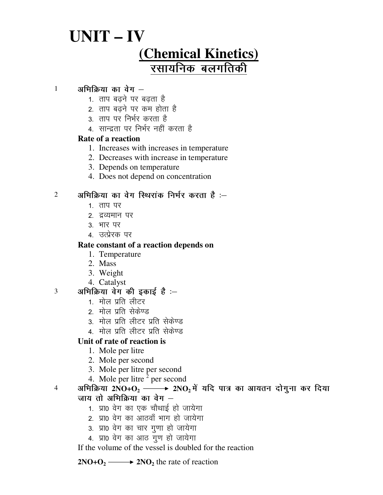# **UNIT – IV (Chemical Kinetics)** रसायनिक बलगतिकी

# $1$  अभिक्रिया का वेग $-$

- 1. ताप बढने पर बढता है
- 2. ताप बढने पर कम होता है
- 3. ताप पर निर्भर करता है
- 4. सान्द्रता पर निर्भर नहीं करता है

#### **Rate of a reaction**

- 1. Increases with increases in temperature
- 2. Decreases with increase in temperature
- 3. Depends on temperature
- 4. Does not depend on concentration

# $2$  अभिक्रिया का वेग स्थिरांक निर्भर करता है :-

- 1. ताप पर
- 2. द्रव्यमान पर
- 3. भार पर
- 4. उत्प्रेरक पर

### **Rate constant of a reaction depends on**

- 1. Temperature
- 2. Mass
- 3. Weight
- 4. Catalyst

# $3$  अभिक्रिया वेग की इकाई है :-

- 1. मोल प्रति लीटर
- 2. मोल प्रति सेकेण्ड
- 3. मोल प्रति लीटर प्रति सेकेण्ड
- 4. मोल प्रति लीटर प्रति सेकेण्ड

# **Unit of rate of reaction is**

- 1. Mole per litre
- 2. Mole per second
- 3. Mole per litre per second
- 4. Mole per litre  $2$  per second

<sup>4</sup> अभिक्रिया 2NO+O<sub>2</sub> → 2NO<sub>2</sub> में यदि पात्र का आयतन दोगुना कर दिया जाय तो अभिक्रिया का वेग $-$ 

- 1. प्रा0 वेग का एक चौथाई हो जायेगा
- 2. प्रा0 वेग का आठवाँ भाग हो जायेगा
- 3. प्रा0 वेग का चार गुणा हो जायेगा
- 4. प्रा0 वेग का आठ गूण हो जायेगा

If the volume of the vessel is doubled for the reaction

**2NO+O**<sub>2</sub>  $\longrightarrow$  **2NO**<sub>2</sub> the rate of reaction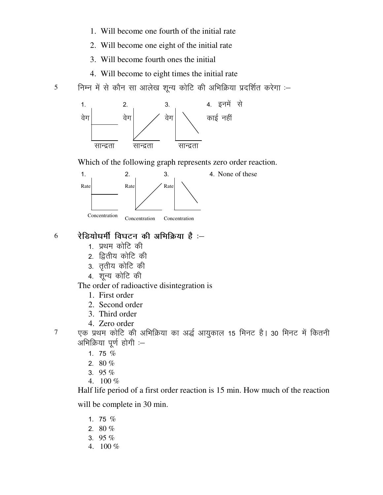- 1. Will become one fourth of the initial rate
- 2. Will become one eight of the initial rate
- 3. Will become fourth ones the initial
- 4. Will become to eight times the initial rate

5 निम्न में से कौन सा आलेख शून्य कोटि की अभिक्रिया प्रदर्शित करेगा :-



Which of the following graph represents zero order reaction.



## $6$  रेडियोधर्मी विघटन की अभिक्रिया है :-

- 1. प्रथम कोटि की
- 2. द्वितीय कोटि की
- 3. तृतीय कोटि की
- 4. शून्य कोटि की

The order of radioactive disintegration is

- 1. First order
- 2. Second order
- 3. Third order
- 4. Zero order
- 

 $7$  एक प्रथम कोटि की अभिक्रिया का अर्द्ध आयुकाल 15 मिनट है। 30 मिनट में कितनी आभिक्रिया पूर्ण होगी $-$ 

- 1. 75  $%$
- 2.  $80 \%$
- 3. 95  $%$
- 4. 100 %

Half life period of a first order reaction is 15 min. How much of the reaction

will be complete in 30 min.

- 1. 75  $%$
- 2.  $80 \%$
- 3. 95  $%$
- 4. 100 %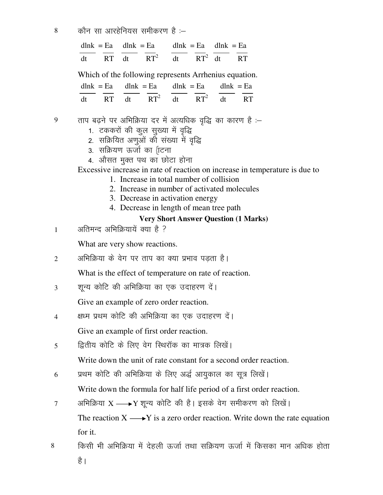$8 \qquad$  कौन सा आरहेनियस समीकरण है :–

|  |  | $dlnk = Ea$ dlnk = Ea dlnk = Ea dlnk = Ea |                                 |  |  |  |  |
|--|--|-------------------------------------------|---------------------------------|--|--|--|--|
|  |  |                                           | dt RT dt $RT^2$ dt $RT^2$ dt RT |  |  |  |  |

Which of the following represents Arrhenius equation.

|  | $dlnk = Ea$ dlnk = Ea dlnk = Ea dlnk = Ea |  |  |
|--|-------------------------------------------|--|--|
|  | dt RT dt $RT^2$ dt $RT^2$ dt RT           |  |  |

- $9$  ताप बढ़ने पर अभिक्रिया दर में अत्यधिक वृद्धि का कारण है :-
	- 1. टककरों की कुल सुख्या में वृद्धि
	- 2. सक्रियित अणुओं को संख्या में वृद्धि
	- 3. सक्रियण ऊर्जा का {ाटना
	- 4. औसत मुक्त पथ का छोटा होना

Excessive increase in rate of reaction on increase in temperature is due to

- 1. Increase in total number of collision
- 2. Increase in number of activated molecules
- 3. Decrease in activation energy
- 4. Decrease in length of mean tree path

## **Very Short Answer Question (1 Marks)**

1 अतिमन्द अभिक्रियायें क्या है ?

What are very show reactions.

 $2 \t3$  अभिक्रिया के वेग पर ताप का क्या प्रभाव पडता है।

What is the effect of temperature on rate of reaction.

3 - शून्य कोटि की अभिक्रिया का एक उदाहरण दें।

Give an example of zero order reaction.

4 क्षध्म प्रथम कोटि की अभिक्रिया का एक उदाहरण दें।

Give an example of first order reaction.

 $5$  f}तीय कोटि के लिए वेग स्थिरॉक का मात्रक लिखें।

Write down the unit of rate constant for a second order reaction.

 $6$  प्रथम कोटि की अभिक्रिया के लिए अर्द्ध आयुकाल का सूत्र लिखें।

Write down the formula for half life period of a first order reaction.

- 7 अभिक्रिया  $X \longrightarrow Y$  शून्य कोटि की है। इसके वेग समीकरण को लिखें। The reaction  $X \longrightarrow Y$  is a zero order reaction. Write down the rate equation for it.
- 8 **किसी भी अभिक्रिया में देहली ऊर्जा तथा** सक्रियण ऊर्जा में किसका मान अधिक होता है ।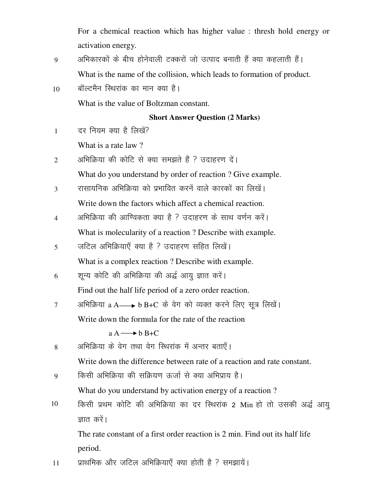For a chemical reaction which has higher value : thresh hold energy or activation energy.

- 9 अभिकारकों के बीच होनेवाली टक्करों जो उत्पाद बनाती हैं क्या कहलाती हैं। What is the name of the collision, which leads to formation of product.
- $10$  aॉल्टमैन रिथरांक का मान क्या है।

What is the value of Boltzman constant.

# **Short Answer Question (2 Marks)**

1 वर नियम क्या है लिखें?

What is a rate law ?

2 3 अभिक्रिया की कोटि से क्या समझते हैं ? उदाहरण दें।

What do you understand by order of reaction ? Give example.

- $3$  रासायनिक अभिक्रिया को प्रभावित करनें वाले कारकों का लिखें। Write down the factors which affect a chemical reaction.
- 4 अभिक्रिया की आण्विकता क्या है ? उदाहरण के साथ वर्णन करें। What is molecularity of a reaction ? Describe with example.
- 5 जटिल अभिक्रियाएँ क्या है ? उदाहरण सहित लिखें। What is a complex reaction ? Describe with example.
- $6$  शून्य कोटि की अभिक्रिया की अर्द्ध आयु ज्ञात करें।

Find out the half life period of a zero order reaction.

 $7$  अभिक्रिया a A → b B+C के वेग को व्यक्त करने लिए सूत्र लिखें। Write down the formula for the rate of the reaction  $a A \rightarrow b B + C$ 

8 अभिक्रिया के वेग तथा वेग स्थिरांक में अन्तर बताएँ।

Write down the difference between rate of a reaction and rate constant.

9 विल्सी अभिक्रिया की सक्रियण ऊर्जा से क्या अभिप्राय है।

What do you understand by activation energy of a reaction ?

10 fिकसी प्रथम कोटि की अभिक्रिया का दर स्थिरांक 2 Min हो तो उसकी अर्द्ध आयू ज्ञात करें।

The rate constant of a first order reaction is 2 min. Find out its half life period.

 $11$  yre lang and vector of the state via the state of  $\frac{1}{k}$  i  $\frac{k}{k}$  is a set  $k$  if and the state is a set  $k$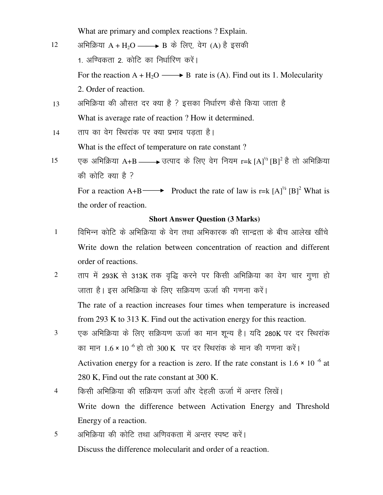What are primary and complex reactions ? Explain.

| 12 | अभिक्रिया $A + H_2O \longrightarrow B$ के लिए, वेग (A) है इसकी                                    |
|----|---------------------------------------------------------------------------------------------------|
|    | 1. अण्विकता 2. कोटि का निर्धारिण करें।                                                            |
|    | For the reaction $A + H_2O \longrightarrow B$ rate is (A). Find out its 1. Molecularity           |
|    | 2. Order of reaction.                                                                             |
| 13 | अभिक्रिया की औसत दर क्या है ? इसका निर्धारण कैसे किया जाता है                                     |
|    | What is average rate of reaction? How it determined.                                              |
| 14 | ताप का वेग स्थिरांक पर क्या प्रभाव पड़ता है।                                                      |
|    | What is the effect of temperature on rate constant?                                               |
| 15 | एक अभिक्रिया A+B ——→ उत्पाद के लिए वेग नियम r=k [A] <sup>½</sup> [B] <sup>2</sup> है तो अभिक्रिया |
|    | की कोटि क्या है ?                                                                                 |
|    | For a reaction A+B Product the rate of law is r=k $[A]^{\frac{1}{2}} [B]^2$ What is               |
|    | the order of reaction.                                                                            |

#### **Short Answer Question (3 Marks)**

- 1 a विभिन्न कोटि के अभिक्रिया के वेग तथा अभिकारक की सान्द्रता के बीच आलेख खींचे Write down the relation between concentration of reaction and different order of reactions.
- 2 ताप में 293K से 313K तक वृद्धि करने पर किसी अभिक्रिया का वेग चार गुणा हो जाता है। इस अभिक्रिया के लिए सक्रियण ऊर्जा की गणना करें। The rate of a reaction increases four times when temperature is increased from 293 K to 313 K. Find out the activation energy for this reaction.
- $3$  एक अभिक्रिया के लिए सक्रियण ऊर्जा का मान शून्य है। यदि 280K पर दर स्थिरांक का मान  $1.6 \times 10^{-6}$  हो तो 300 K पर दर स्थिरांक के मान की गणना करें। Activation energy for a reaction is zero. If the rate constant is  $1.6 \times 10^{-6}$  at 280 K, Find out the rate constant at 300 K.
- 4 a forसी अभिक्रिया की सक्रियण ऊर्जा और देहली ऊर्जा में अन्तर लिखें। Write down the difference between Activation Energy and Threshold Energy of a reaction.
- 5 अभिक्रिया की कोटि तथा अणिवकता में अन्तर स्पष्ट करें। Discuss the difference molecularit and order of a reaction.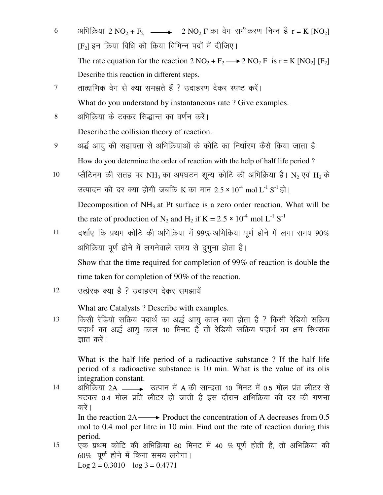- 6 अभिक्रिया 2 NO<sub>2</sub> + F<sub>2</sub>  $\longrightarrow$  2 NO<sub>2</sub> F का वेग समीकरण निम्न है r = K [NO<sub>2</sub>]  $[F_2]$  इन क्रिया विधि की क्रिया विभिन्न पदों में दीजिए। The rate equation for the reaction  $2 \text{ NO}_2 + \text{F}_2 \longrightarrow 2 \text{ NO}_2 \text{ F}$  is  $r = K \text{ [NO}_2 \text{ ] [F}_2\text{]}$ Describe this reaction in different steps.
- 7 तात्क्षणिक वेग से क्या समझते हैं ? उदाहरण देकर स्पष्ट करें। What do you understand by instantaneous rate ? Give examples.
- 8 अभिक्रिया के टक्कर सिद्धान्त का वर्णन करें। Describe the collision theory of reaction.
- $9$  अर्द्ध आयू की सहायता से अभिक्रियाओं के कोटि का निर्धारण कैसे किया जाता है How do you determine the order of reaction with the help of half life period ?
- 10 प्लैटिनम की सतह पर NH<sub>3</sub> का अपघटन शून्य कोटि की अभिक्रिया है। N<sub>2</sub> एवं H<sub>2</sub> के उत्पादन की दर क्या होगी जबकि K का मान 2.5 × 10<sup>-4</sup> mol L<sup>-1</sup> S<sup>-1</sup> हो। Decomposition of  $NH<sub>3</sub>$  at Pt surface is a zero order reaction. What will be the rate of production of N<sub>2</sub> and H<sub>2</sub> if K = 2.5  $\times$  10<sup>-4</sup> mol L<sup>-1</sup> S<sup>-1</sup>
- $11$  दर्शाए कि प्रथम कोटि की अभिक्रिया में 99% अभिक्रिया पूर्ण होने में लगा समय 90% अभिक्रिया पूर्ण होने में लगनेवाले समय से दूगूना होता है। Show that the time required for completion of 99% of reaction is double the time taken for completion of 90% of the reaction.
- $12 \qquad$  उत्प्रेरक क्या है ? उदाहरण देकर समझायें

What are Catalysts ? Describe with examples.

13 for किसी रेडियो सक्रिय पदार्थ का अर्द्ध आयु काल क्या होता है ? किसी रेडियो सक्रिय पदार्थ का अर्द्ध आयु काल 10 मिनट है तो रेडियो सक्रिय पदार्थ का क्षय स्थिरांक ज्ञात करें।

What is the half life period of a radioactive substance ? If the half life period of a radioactive substance is 10 min. What is the value of its olis integration constant.

 $14$  अभिक्रिया 2A  $\longrightarrow$  उत्पान में A की सान्द्रता 10 मिनट में 0.5 मोल प्रंत लीटर से घटकर 0.4 मोल प्रति लीटर हो जाती है इस दौरान अभिक्रिया की दर की गणना करें ।

In the reaction  $2A \longrightarrow$  Product the concentration of A decreases from 0.5 mol to 0.4 mol per litre in 10 min. Find out the rate of reaction during this period.

 $15$  एक प्रथम कोटि की अभिक्रिया 60 मिनट में 40 % पूर्ण होती है, तो अभिक्रिया की  $60\%$  पूर्ण होने में किना समय लगेगा। Log  $2 = 0.3010$  log  $3 = 0.4771$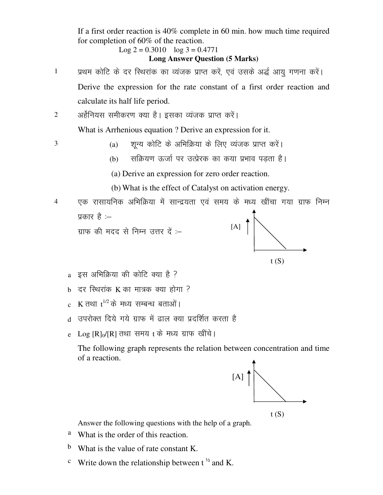If a first order reaction is 40% complete in 60 min. how much time required for completion of 60% of the reaction.

$$
Log 2 = 0.3010 log 3 = 0.4771
$$

#### **Long Answer Question (5 Marks)**

1 प्रथम कोटि के दर स्थिरांक का व्यंजक प्राप्त करें, एवं उसके अर्द्ध आयु गणना करें। Derive the expression for the rate constant of a first order reaction and calculate its half life period.

2 अर्हेनियस समीकरण क्या है। इसका व्यंजक प्राप्त करें।

What is Arrhenious equation ? Derive an expression for it.

 $3$  (a) शुन्य कोटि के अभिक्रिया के लिए व्यंजक प्राप्त करें।

(b) सक्रियण ऊर्जा पर उत्प्रेरक का कया प्रभाव पडता है।

(a) Derive an expression for zero order reaction.

(b) What is the effect of Catalyst on activation energy.

- 4 ,d jklk;fud vfHkfØ;k e sa lkUn z;rk ,oa le; d s e/; [kh apk x;k xzkQ fuEu प्रकार है $:=$ ग्राफ की मदद से निम्न उत्तर दें $$  $t(S)$  $[A] \uparrow$ 
	- $a$  इस अभिक्रिया की कोटि क्या है ?
	- $b$  दर स्थिरांक K का मात्रक क्या होगा ?
	- $\rm c~$  K तथा  $\rm t^{1/2}$ के मध्य सम्बन्ध बताओं।
	- d) उपरोक्त दिये गये ग्राफ में ढाल क्या प्रदर्शित करता है
	- e Log  $\text{[R]}_0/\text{[R]}$  तथा समय t के मध्य ग्राफ खींचे।

The following graph represents the relation between concentration and time of a reaction.



Answer the following questions with the help of a graph.

- a What is the order of this reaction.
- b What is the value of rate constant K.
- <sup>c</sup> Write down the relationship between  $t^{\frac{1}{2}}$  and K.